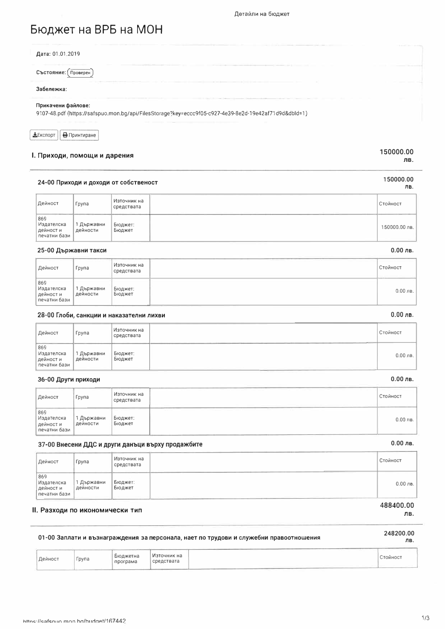# Бюджет на ВРБ на МОН

| For the company of the company of the company of the company of the company of the company of the company of<br>Дата: 01.01.2019 | the development of the property of the property |
|----------------------------------------------------------------------------------------------------------------------------------|-------------------------------------------------|
| Състояние: (Проверен                                                                                                             |                                                 |
| the property of the control of the control of the con-<br>Забележка:                                                             |                                                 |
| Прикачени файлове:<br>9107-48.pdf (https://safspuo.mon.bg/api/FilesStorage?key=eccc9f05-c927-4e39-8e2d-19e42af71d9d&dbld=1)      |                                                 |

| Експорт | В Принтиране |
|---------|--------------|
|         |              |

## I. Приходи, помощи и дарения

#### 150000.00 лв.

150000.00

 $0.00$  лв.

 $0.00$  лв.

 $0.00$  лв.

 $0.00$  лв.

ЛΒ.

#### 24-00 Приходи и доходи от собственост

| Дейност                                        | Група                  | Източник на<br>средствата | Стойност      |
|------------------------------------------------|------------------------|---------------------------|---------------|
| 869<br>Издателска<br>дейност и<br>печатни бази | 1 Държавни<br>дейности | Бюджет:<br>Бюджет         | 150000.00 лв. |

#### 25-00 Държавни такси

| Дейност                                       | Група                  | <sub>I</sub> Източник на<br>средствата | Стойност    |
|-----------------------------------------------|------------------------|----------------------------------------|-------------|
| 869<br>Издателска<br>дейности<br>печатни бази | 1 Държавни<br>дейности | Бюджет:<br>Бюджет                      | $0.00$ JIB. |

#### 28-00 Глоби, санкции и наказателни лихви

| Дейност                                        | Група                | Източник на<br>средствата | <b>Стойност</b> |
|------------------------------------------------|----------------------|---------------------------|-----------------|
| 869<br>Издателска<br>дейност и<br>печатни бази | Държавни<br>дейности | Бюджет:<br>Бюджет         | $0.00$ лв.      |

#### 36-00 Други приходи

| Дейност                                               | Група                         | Източник на<br>средствата  | Стойност   |
|-------------------------------------------------------|-------------------------------|----------------------------|------------|
| ---<br>869<br>Издателска<br>дейност и<br>печатни бази | <b>  Държавни</b><br>дейности | _____<br>Бюджет:<br>Бюджет | $0.00$ лв. |

### 37-00 Внесени ДДС и други данъци върху продажбите

| Дейност                                        | Група                | Източник на<br>средствата | Стойност   |
|------------------------------------------------|----------------------|---------------------------|------------|
| 869<br>Издателска<br>дейност и<br>печатни бази | Държавни<br>дейности | Бюджет:<br>Бюджет         | $0.00$ лв. |
|                                                |                      |                           | 488400.00  |

### II. Разходи по икономически тип

# 248200.00

#### 01-00 Заплати и възнаграждения за персонала, нает по трудови и служебни правоотношения

ЛВ.

| Дейност | ~рула | Бюджетна<br>програма | Източник на<br>средствата |  | Стойност |
|---------|-------|----------------------|---------------------------|--|----------|
|---------|-------|----------------------|---------------------------|--|----------|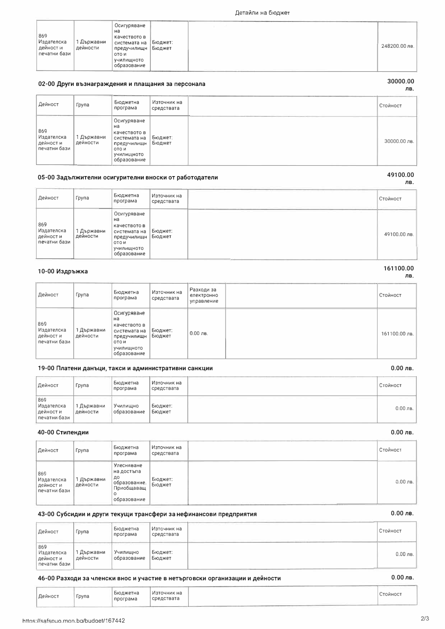Група

https://safspuo.mon.ba/budget/167442

Дейност

| <b>УЧИЛИЩНОТО</b><br>образование | 869<br>Издателска<br>дейност и<br>печатни бази | 1 Държавни<br>дейности | Осигуряване<br>нa<br>качеството в<br>системата на<br>предучилищн<br>ото и | Бюджет:<br>Бюджет |  | 248200.00 |
|----------------------------------|------------------------------------------------|------------------------|---------------------------------------------------------------------------|-------------------|--|-----------|
|                                  |                                                |                        |                                                                           |                   |  |           |

## 02-00 Други възнаграждения и плащания за персонала

| Дейност                                        | Група                  | Бюджетна<br>програма                                                                                   | Източник на<br>средствата | Стойност     |
|------------------------------------------------|------------------------|--------------------------------------------------------------------------------------------------------|---------------------------|--------------|
| 869<br>Издателска<br>дейност и<br>печатни бази | 1 Държавни<br>дейности | Осигуряване<br>на<br>качеството в<br>системата на<br>предучилищн<br>OTO H<br>училициото<br>образование | Бюджет:<br>Бюджет         | 30000.00 лв. |

### 05-00 Задължителни осигурителни вноски от работодатели

| Дейност                                        | Група                | Бюджетна<br>програма                                                                                   | Източник на<br>средствата | Стойност    |
|------------------------------------------------|----------------------|--------------------------------------------------------------------------------------------------------|---------------------------|-------------|
| 869<br>Издателска<br>дейност и<br>печатни бази | Държавни<br>дейности | Осигуряване<br>на<br>качеството в<br>системата на<br>предучилищн<br>OTO M<br>училищното<br>образование | Бюджет:<br>Бюджет         | 49100.00 лв |

#### 10-00 Издръжка

| Дейност                                        | Група                  | Бюджетна<br>програма                                                                                                     | Източник на<br>средствата | Разходи за<br>електронно<br>управление | Стойност      |
|------------------------------------------------|------------------------|--------------------------------------------------------------------------------------------------------------------------|---------------------------|----------------------------------------|---------------|
| 869<br>Издателска<br>дейност и<br>печатни бази | 1 Държавни<br>дейности | Осигуряване<br>на<br>качеството в<br>системата на<br>предучилищн<br>OTO <sub>H</sub><br><b>УЧИЛИЩНОТО</b><br>образование | Бюджет:<br>Бюджет         | $0.00$ лв.                             | 161100.00 лв. |

## 19-00 Платени данъци, такси и административни санкции

| Дейност                                        | Група                    | Бюджетна<br>програма    | Източник на<br>средствата | Стойност   |
|------------------------------------------------|--------------------------|-------------------------|---------------------------|------------|
| 869<br>Издателска<br>дейност и<br>печатни бази | I Държавни<br>  дейности | Училищно<br>образование | Бюджет:<br>Бюджет         | $0.00$ лв. |

#### 40-00 Стипендии

| Дейност                                        | Група                | Бюджетна<br>програма                                                        | Източник на<br>средствата | Стойност   |
|------------------------------------------------|----------------------|-----------------------------------------------------------------------------|---------------------------|------------|
| 869<br>Издателска<br>дейност и<br>печатни бази | Държавни<br>дейности | Улесняване<br>на достъпа<br>до<br>образование.<br>Приобщаваш<br>образование | Бюджет:<br>Бюджет         | $0.00$ лв. |

### 43-00 Субсидии и други текущи трансфери за нефинансови предприятия

Бюджетна

програма

| Дейност                                          | Група                | Бюджетна<br>програма    | <sub>I</sub> Източник на<br>средствата | Стойност   |
|--------------------------------------------------|----------------------|-------------------------|----------------------------------------|------------|
| 869<br>Издателска<br>  дейност и<br>печатни бази | Държавни<br>дейности | Училишно<br>образование | Бюджет:<br>Бюджет                      | $0.00$ лв. |

#### 46-00 Разходи за членски внос и участие в нетърговски организации и дейности

Източник на

средствата

# Стойност

 $0.00$  лв.

#### 30000.00 лв.

49100.00

ЛВ.

# 161100.00 ЛВ.

 $0.00$  лв.

 $0.00$  лв.